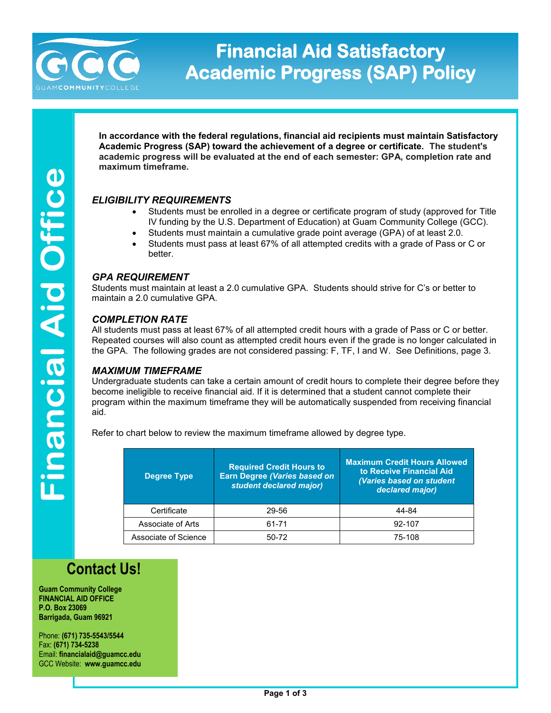

# **Financial Aid Satisfactory Academic Progress (SAP) Policy**

**In accordance with the federal regulations, financial aid recipients must maintain Satisfactory Academic Progress (SAP) toward the achievement of a degree or certificate. The student's academic progress will be evaluated at the end of each semester: GPA, completion rate and maximum timeframe.**

## *ELIGIBILITY REQUIREMENTS*

- Students must be enrolled in a degree or certificate program of study (approved for Title IV funding by the U.S. Department of Education) at Guam Community College (GCC).
- Students must maintain a cumulative grade point average (GPA) of at least 2.0.
- Students must pass at least 67% of all attempted credits with a grade of Pass or C or better.

## *GPA REQUIREMENT*

Students must maintain at least a 2.0 cumulative GPA. Students should strive for C's or better to maintain a 2.0 cumulative GPA.

## *COMPLETION RATE*

All students must pass at least 67% of all attempted credit hours with a grade of Pass or C or better. Repeated courses will also count as attempted credit hours even if the grade is no longer calculated in the GPA. The following grades are not considered passing: F, TF, I and W. See Definitions, page 3.

#### *MAXIMUM TIMEFRAME*

Undergraduate students can take a certain amount of credit hours to complete their degree before they become ineligible to receive financial aid. If it is determined that a student cannot complete their program within the maximum timeframe they will be automatically suspended from receiving financial aid.

Refer to chart below to review the maximum timeframe allowed by degree type.

| <b>Degree Type</b>   | <b>Required Credit Hours to</b><br><b>Earn Degree (Varies based on</b><br>student declared major) | <b>Maximum Credit Hours Allowed</b><br>to Receive Financial Aid<br>(Varies based on student<br>declared major) |
|----------------------|---------------------------------------------------------------------------------------------------|----------------------------------------------------------------------------------------------------------------|
| Certificate          | 29-56                                                                                             | 44-84                                                                                                          |
| Associate of Arts    | 61-71                                                                                             | 92-107                                                                                                         |
| Associate of Science | $50-72$                                                                                           | 75-108                                                                                                         |

# **Contact Us!**

**Guam Community College FINANCIAL AID OFFICE P.O. Box 23069 Barrigada, Guam 96921**

Phone: **(671) 735-5543/5544** Fax: **(671) 734-5238** Email: **financialaid@guamcc.edu** GCC Website: **www.guamcc.edu**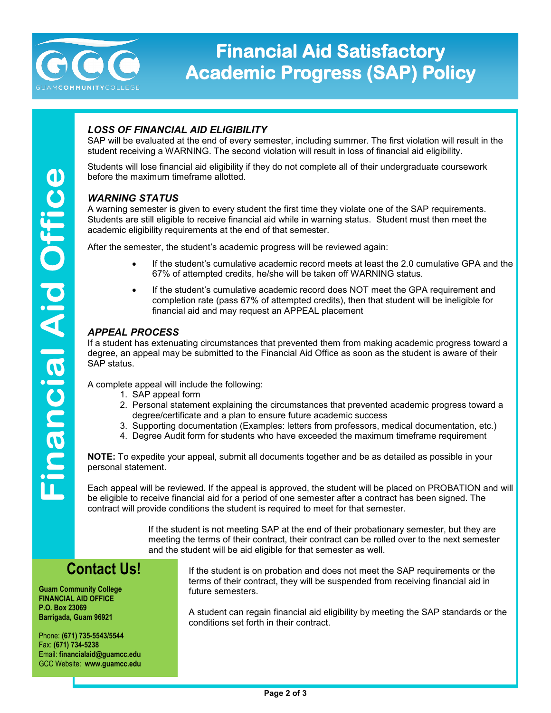

# **Financial Aid Satisfactory Academic Progress (SAP) Policy**

## *LOSS OF FINANCIAL AID ELIGIBILITY*

SAP will be evaluated at the end of every semester, including summer. The first violation will result in the student receiving a WARNING. The second violation will result in loss of financial aid eligibility.

Students will lose financial aid eligibility if they do not complete all of their undergraduate coursework before the maximum timeframe allotted.

## *WARNING STATUS*

A warning semester is given to every student the first time they violate one of the SAP requirements. Students are still eligible to receive financial aid while in warning status. Student must then meet the academic eligibility requirements at the end of that semester.

After the semester, the student's academic progress will be reviewed again:

- If the student's cumulative academic record meets at least the 2.0 cumulative GPA and the 67% of attempted credits, he/she will be taken off WARNING status.
- If the student's cumulative academic record does NOT meet the GPA requirement and completion rate (pass 67% of attempted credits), then that student will be ineligible for financial aid and may request an APPEAL placement

## *APPEAL PROCESS*

If a student has extenuating circumstances that prevented them from making academic progress toward a degree, an appeal may be submitted to the Financial Aid Office as soon as the student is aware of their SAP status.

A complete appeal will include the following:

- 1. SAP appeal form
- 2. Personal statement explaining the circumstances that prevented academic progress toward a degree/certificate and a plan to ensure future academic success
- 3. Supporting documentation (Examples: letters from professors, medical documentation, etc.)
- 4. Degree Audit form for students who have exceeded the maximum timeframe requirement

**NOTE:** To expedite your appeal, submit all documents together and be as detailed as possible in your personal statement.

Each appeal will be reviewed. If the appeal is approved, the student will be placed on PROBATION and will be eligible to receive financial aid for a period of one semester after a contract has been signed. The contract will provide conditions the student is required to meet for that semester.

> If the student is not meeting SAP at the end of their probationary semester, but they are meeting the terms of their contract, their contract can be rolled over to the next semester and the student will be aid eligible for that semester as well.

# **Contact Us!**

**Guam Community College FINANCIAL AID OFFICE P.O. Box 23069 Barrigada, Guam 96921**

Phone: **(671) 735-5543/5544** Fax: **(671) 734-5238** Email: **financialaid@guamcc.edu** GCC Website: **www.guamcc.edu**

If the student is on probation and does not meet the SAP requirements or the terms of their contract, they will be suspended from receiving financial aid in future semesters.

A student can regain financial aid eligibility by meeting the SAP standards or the conditions set forth in their contract.